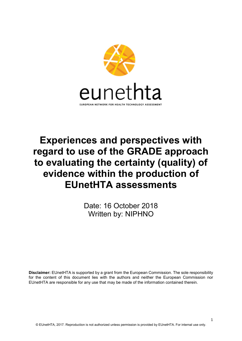

# Experiences and perspectives with regard to use of the GRADE approach to evaluating the certainty (quality) of evidence within the production of EUnetHTA assessments

Date: 16 October 2018 Written by: NIPHNO

Disclaimer: EUnetHTA is supported by a grant from the European Commission. The sole responsibility for the content of this document lies with the authors and neither the European Commission nor EUnetHTA are responsible for any use that may be made of the information contained therein.

1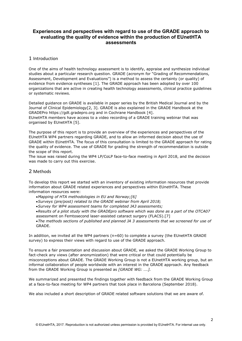## Experiences and perspectives with regard to use of the GRADE approach to evaluating the quality of evidence within the production of EUnetHTA assessments

## 1 Introduction

One of the aims of health technology assessment is to identify, appraise and synthesize individual studies about a particular research question. GRADE (acronym for "Grading of Recommendations, Assessment, Development and Evaluations") is a method to assess the certainty (or quality) of evidence from evidence syntheses [1]. The GRADE approach has been adopted by over 100 organizations that are active in creating health technology assessments, clinical practice guidelines or systematic reviews.

Detailed guidance on GRADE is available in paper series by the British Medical Journal and by the Journal of Clinical Epidemiology[2, 3]. GRADE is also explained in the GRADE Handbook at the GRADEPro https://gdt.gradepro.org and in Cochrane Handbook [4]. EUnetHTA members have access to a video recording of a GRADE training webinar that was organised by EUnetHTA [5].

The purpose of this report is to provide an overview of the experiences and perspectives of the EUnetHTA WP4 partners regarding GRADE, and to allow an informed decision about the use of GRADE within EUnetHTA. The focus of this consultation is limited to the GRADE approach for rating the quality of evidence. The use of GRADE for grading the strength of recommendation is outside the scope of this report.

The issue was raised during the WP4 LP/CoLP face-to-face meeting in April 2018, and the decision was made to carry out this exercise.

## 2 Methods

To develop this report we started with an inventory of existing information resources that provide information about GRADE related experiences and perspectives within EUnetHTA. These information resources were:

- Mapping of HTA methodologies in EU and Norway;[6]
- Surveys (pre/post) related to the GRADE webinar from April 2018;
- Survey for WP4 assessment teams for completed JA3 assessments;
- Results of a pilot study with the GRADEpro software which was done as a part of the OTCA07 assessment on Femtosecond laser-assisted cataract surgery (FLACS).[7]

The methods sections of published and planned JA 3 assessments that we screened for use of GRADE.

In addition, we invited all the WP4 partners (n=60) to complete a survey (the EUnetHTA GRADE survey) to express their views with regard to use of the GRADE approach.

To ensure a fair presentation and discussion about GRADE, we asked the GRADE Working Group to fact-check any views (after anonymization) that were critical or that could potentially be misconceptions about GRADE. The GRADE Working Group is not a EUnetHTA working group, but an informal collaboration of people worldwide with an interest in the GRADE approach. Any feedback from the GRADE Working Group is presented as *[GRADE WG: ....]*.

We summarized and presented the findings together with feedback from the GRADE Working Group at a face-to-face meeting for WP4 partners that took place in Barcelona (September 2018).

We also included a short description of GRADE related software solutions that we are aware of.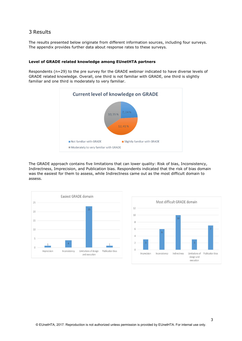## 3 Results

The results presented below originate from different information sources, including four surveys. The appendix provides further data about response rates to these surveys.

#### Level of GRADE related knowledge among EUnetHTA partners

Respondents (n=29) to the pre survey for the GRADE webinar indicated to have diverse levels of GRADE related knowledge. Overall, one third is not familiar with GRADE, one third is slightly familiar and one third is moderately to very familiar.



The GRADE approach contains five limitations that can lower quality: Risk of bias, Inconsistency, Indirectness, Imprecision, and Publication bias. Respondents indicated that the risk of bias domain was the easiest for them to assess, while Indirectness came out as the most difficult domain to assess.



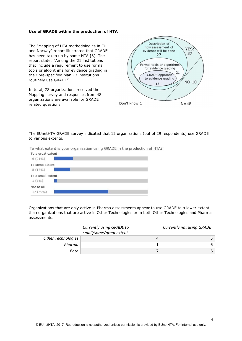#### Use of GRADE within the production of HTA

The "Mapping of HTA methodologies in EU and Norway" report illustrated that GRADE has been taken up by some HTA [6]. The report states "Among the 21 institutions that include a requirement to use formal tools or algorithms for evidence grading in their pre-specified plan 13 institutions routinely use GRADE".

In total, 78 organizations received the Mapping survey and responses from 48 organizations are available for GRADE related questions.



The EUnetHTA GRADE survey indicated that 12 organizations (out of 29 respondents) use GRADE to various extents.

To what extent is your organization using GRADE in the production of HTA?



Organizations that are only active in Pharma assessments appear to use GRADE to a lower extent than organizations that are active in Other Technologies or in both Other Technologies and Pharma assessments.

|                           | Currently using GRADE to<br>small/some/great extent |   | Currently not using GRADE |
|---------------------------|-----------------------------------------------------|---|---------------------------|
| <b>Other Technologies</b> |                                                     | 4 |                           |
| Pharma                    |                                                     |   | 6                         |
| Both                      |                                                     |   | 6                         |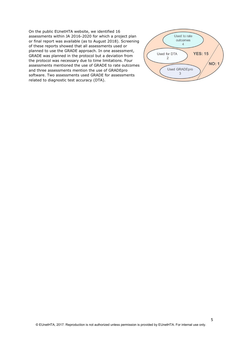On the public EUnetHTA website, we identified 16 assessments within JA 2016-2020 for which a project plan or final report was available (as to August 2018). Screening of these reports showed that all assessments used or planned to use the GRADE approach. In one assessment, GRADE was planned in the protocol but a deviation from the protocol was necessary due to time limitations. Four assessments mentioned the use of GRADE to rate outcomes and three assessments mention the use of GRADEpro software. Two assessments used GRADE for assessments related to diagnostic test accuracy (DTA).

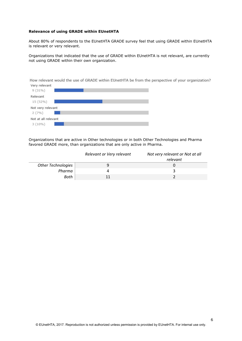#### Relevance of using GRADE within EUnetHTA

About 80% of respondents to the EUnetHTA GRADE survey feel that using GRADE within EUnetHTA is relevant or very relevant.

Organizations that indicated that the use of GRADE within EUnetHTA is not relevant, are currently not using GRADE within their own organization.

How relevant would the use of GRADE within EUnetHTA be from the perspective of your organization? Very relevant



Organizations that are active in Other technologies or in both Other Technologies and Pharma favored GRADE more, than organizations that are only active in Pharma.

|                           | Relevant or Very relevant | Not very relevant or Not at all<br>relevant |
|---------------------------|---------------------------|---------------------------------------------|
| <b>Other Technologies</b> |                           |                                             |
| Pharma                    |                           |                                             |
| Both                      |                           |                                             |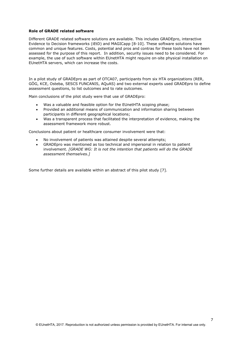#### Role of GRADE related software

Different GRADE related software solutions are available. This includes GRADEpro, interactive Evidence to Decision frameworks (iEtD) and MAGICapp [8-10]. These software solutions have common and unique features. Costs, potential and pros and contras for these tools have not been assessed for the purpose of this report. In addition, security issues need to be considered. For example, the use of such software within EUnetHTA might require on-site physical installation on EUnetHTA servers, which can increase the costs.

In a pilot study of GRADEpro as part of OTCA07, participants from six HTA organizations (RER, GÖG, KCE, Osteba, SESCS FUNCANIS, AQuAS) and two external experts used GRADEpro to define assessment questions, to list outcomes and to rate outcomes.

Main conclusions of the pilot study were that use of GRADEpro:

- Was a valuable and feasible option for the EUnetHTA scoping phase;
- Provided an additional means of communication and information sharing between participants in different geographical locations;
- Was a transparent process that facilitated the interpretation of evidence, making the assessment framework more robust.

Conclusions about patient or healthcare consumer involvement were that:

- No involvement of patients was attained despite several attempts;
- GRADEpro was mentioned as too technical and impersonal in relation to patient involvement. [GRADE WG: It is not the intention that patients will do the GRADE assessment themselves.]

Some further details are available within an abstract of this pilot study [7].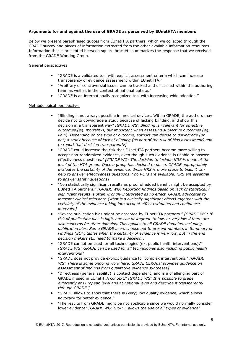## Arguments for and against the use of GRADE as perceived by EUnetHTA members

Below we present paraphrased quotes from EUnetHTA partners, which we collected through the GRADE survey and pieces of information extracted from the other available information resources. Information that is presented between square brackets summarizes the response that we received from the GRADE Working Group.

#### General perspectives

- "GRADE is a validated tool with explicit assessment criteria which can increase transparency of evidence assessment within EUnetHTA."
- "Arbitrary or controversial issues can be tracked and discussed within the authoring team as well as in the context of national uptake."
- "GRADE is an internationally recognized tool with increasing wide adoption."

#### Methodological perspectives

- "Blinding is not always possible in medical devices. Within GRADE, the authors may decide not to downgrade a study because of lacking blinding, and show this decision in a transparent way" [GRADE WG: Blinding is irrelevant for objective outcomes (eg. mortality), but important when assessing subjective outcomes (eg. Pain). Depending on the type of outcome, authors can decide to downgrade (or not) a study because of lack of blinding (as part of the risk of bias assessment) and to report that decision transparently]
- "GRADE could increase the risk that EUnetHTA partners become more willing to accept non-randomized evidence, even though such evidence is unable to answer effectiveness questions." [GRADE WG: The decision to include NRS is made at the level of the HTA group. Once a group has decided to do so, GRADE appropriately evaluates the certainty of the evidence. While NRS is more prone to bias, it can help to answer effectiveness questions if no RCTs are available. NRS are essential to answer safety questions]
- "Non statistically significant results as proof of added benefit might be accepted by EUnetHTA partners." [GRADE WG: Reporting findings based on lack of statistically significant results is often wrongly interpreted as no effect. GRADE advocates to interpret clinical relevance (what is a clinically significant effect) together with the certainty of the evidence taking into account effect estimates and confidence intervals.]
- "Severe publication bias might be accepted by EUnetHTA partners." [GRADE WG: If risk of publication bias is high, one can downgrade to low, or very low if there are also concerns for other domains. This applies to all GRADE domains, including publication bias. Some GRADE users choose not to present numbers in Summary of Findings (SOF) tables when the certainty of evidence is very low, but in the end decision makers still need to make a decision.]
- "GRADE cannot be used for all technologies (ex. public health interventions)." [GRADE WG: GRADE can be used for all technologies also including public health interventions]
- "GRADE does not provide explicit guidance for complex interventions." [GRADE WG: There is some ongoing work here. GRADE CERQual provides guidance on assessment of findings from qualitative evidence syntheses]
- "Directness (generalizability) is context dependent, and is a challenging part of GRADE if used in EUnetHTA context." [GRADE WG: It is possible to grade differently at European level and at national level and describe it transparently through GRADE.]
- "GRADE allows to show that there is (very) low quality evidence, which allows advocacy for better evidence."
- "The results from GRADE might be not applicable since we would normally consider lower evidence" [GRADE WG: GRADE allows the use of all types of evidence]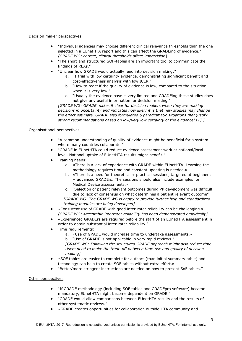## Decision maker perspectives

- "Individual agencies may choose different clinical relevance thresholds than the one selected in a EUnetHTA report and this can affect the GRADEing of evidence." [GRADE WG: correct, clinical thresholds affect imprecision].
- "The short and structured SOF-tables are an important tool to communicate the findings of REAs."
- "Unclear how GRADE would actually feed into decision making:"
	- a. "1 trial with low certainty evidence, demonstrating significant benefit and cost-effectiveness analysis with low ICER."
	- b. "How to react if the quality of evidence is low, compared to the situation when it is very low."
	- c. "Usually the evidence base is very limited and GRADEing these studies does not give any useful information for decision making."

[GRADE WG: GRADE makes it clear for decision makers when they are making decisions in uncertainty and indicates how likely it is that new studies may change the effect estimate. GRADE also formulated 5 paradigmatic situations that justify strong recommendations based on low/very low certainty of the evidence $[11].$ 

## Organisational perspectives

- "A common understanding of quality of evidence might be beneficial for a system where many countries collaborate."
- "GRADE in EUnetHTA could reduce evidence assessment work at national/local level. National uptake of EUnetHTA results might benefit."
- Training needs:
	- a. «There is a lack of experience with GRADE within EUnetHTA. Learning the methodology requires time and constant updating is needed.»
	- b. «There is a need for theoretical + practical sessions, targeted at beginners + advanced GRADErs. The sessions should also include examples for Medical Device assessments.»
	- c. "Selection of patient relevant outcomes during PP development was difficult due to lack of consensus on what determines a patient relevant outcome" [GRADE WG: The GRADE WG is happy to provide further help and standardized training modules are being developed]
- «Consistent use of GRADE with good inter-rater reliability can be challenging.» [GRADE WG: Acceptable interrater reliability has been demonstrated empirically]
- «Experienced GRADErs are required before the start of an EUnetHTA assessment in order to obtain substantial inter-rater reliability."
- Time requirements:
	- a. «Use of GRADE would increase time to undertake assessments.»
	- b. "Use of GRADE is not applicable in very rapid reviews."

[GRADE WG: Following the structured GRADE approach might also reduce time. Users need to make the trade-off between time-use and quality of decisionmaking]

- «SOF tables are easier to complete for authors (than initial summary table) and technology can help to create SOF tables without extra effort.»
- "Better/more stringent instructions are needed on how to present SoF tables."

#### Other perspectives

- "If GRADE methodology (including SOF tables and GRADEpro software) became mandatory, EUnetHTA might become dependent on GRADE."
- "GRADE would allow comparisons between EUnetHTA results and the results of other systematic reviews."
- «GRADE creates opportunities for collaboration outside HTA community and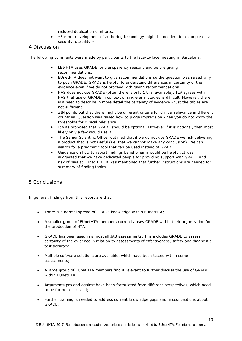reduced duplication of efforts.»

 «Further development of authoring technology might be needed, for example data security, usability.»

## 4 Discussion

The following comments were made by participants to the face-to-face meeting in Barcelona:

- LBI-HTA uses GRADE for transparency reasons and before giving recommendations.
- EUnetHTA does not want to give recommendations so the question was raised why to push GRADE. GRADE is helpful to understand differences in certainty of the evidence even if we do not proceed with giving recommendations.
- HAS does not use GRADE (often there is only 1 trial available). TLV agrees with HAS that use of GRADE in context of single arm studies is difficult. However, there is a need to describe in more detail the certainty of evidence - just the tables are not sufficient.
- ZIN points out that there might be different criteria for clinical relevance in different countries. Question was raised how to judge imprecision when you do not know the thresholds for clinical relevance.
- It was proposed that GRADE should be optional. However if it is optional, then most likely only a few would use it.
- The Senior Scientific Officer outlined that if we do not use GRADE we risk delivering a product that is not useful (i.e. that we cannot make any conclusion). We can search for a pragmatic tool that can be used instead of GRADE.
- Guidance on how to report findings benefit/harm would be helpful. It was suggested that we have dedicated people for providing support with GRADE and risk of bias at EUnetHTA. It was mentioned that further instructions are needed for summary of finding tables.

# 5 Conclusions

In general, findings from this report are that:

- There is a normal spread of GRADE knowledge within EUnetHTA;
- A smaller group of EUnetHTA members currently uses GRADE within their organization for the production of HTA;
- GRADE has been used in almost all JA3 assessments. This includes GRADE to assess certainty of the evidence in relation to assessments of effectiveness, safety and diagnostic test accuracy.
- Multiple software solutions are available, which have been tested within some assessments;
- A large group of EUnetHTA members find it relevant to further discuss the use of GRADE within EUnetHTA;
- Arguments pro and against have been formulated from different perspectives, which need to be further discussed;
- Further training is needed to address current knowledge gaps and misconceptions about GRADE.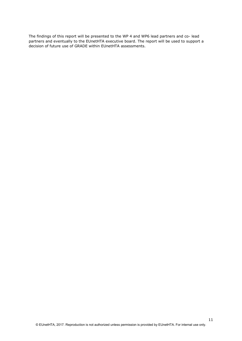The findings of this report will be presented to the WP 4 and WP6 lead partners and co- lead partners and eventually to the EUnetHTA executive board. The report will be used to support a decision of future use of GRADE within EUnetHTA assessments.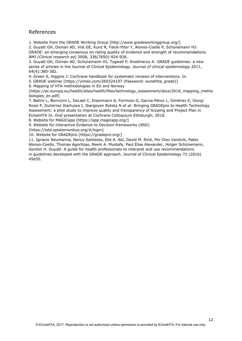# References

1. Website from the GRADE Working Group [http://www.gradeworkinggroup.org/]

2. Guyatt GH, Oxman AD, Vist GE, Kunz R, Falck-Ytter Y, Alonso-Coello P, Schünemann HJ: GRADE: an emerging consensus on rating quality of evidence and strength of recommendations. BMJ (Clinical research ed) 2008, 336(7650):924-926.

3. Guyatt GH, Oxman AD, Schünemann HJ, Tugwell P, Knottnerus A: GRADE guidelines: a new series of articles in the Journal of Clinical Epidemiology. Journal of clinical epidemiology 2011, 64(4):380-382.

4. Green S, Higgins J: Cochrane handbook for systematic reviews of interventions. In.

5. GRADE webinar [https://vimeo.com/265524107 (Password: eunethta\_grade)]

6. Mapping of HTA methodologies in EU and Norway

[https://ec.europa.eu/health/sites/health/files/technology\_assessment/docs/2018\_mapping\_metho dologies\_en.pdf]

7. Ballini L, Bonvicini L, DeLaet C, Eisenmann A, Formoso G, Garcia-Pérez L, Giménez E, Giorgi Rossi P, Gutierrez Ibarluzea I, Ibargoyen Roteta N et al: Bringing GRADEpro to Health Technology Assessment: a pilot study to improve quality and transparency of Scoping and Project Plan in EUnetHTA In. Oral presentation at Cochrane Colloquium Edinburgh; 2018.

8. Website for MAGICapp [https://app.magicapp.org/]

9. Website for interactive Evidence to Decision frameworks (iEtD)

[https://ietd.epistemonikos.org/#/login]

10. Website for GRADEpro [https://gradepro.org/]

11. Ignacio Neumanna, Nancy Santesso, Elie A. Akl, David M. Rind, Per Olav Vandvik, Pablo Alonso-Coello, Thomas Agoritsas, Reem A. Mustafa, Paul Elias Alexander, Holger Schünemann, Gordon H. Guyatt. A guide for health professionals to interpret and use recommendations in guidelines developed with the GRADE approach. Journal of Clinical Epidemiology 72 (2016) 45e55.